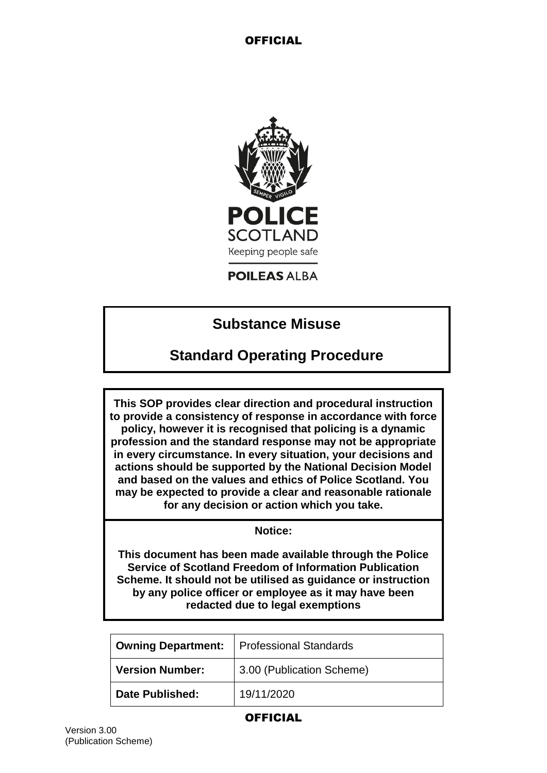

## **POILEAS ALBA**

# **Substance Misuse**

# **Standard Operating Procedure**

**This SOP provides clear direction and procedural instruction to provide a consistency of response in accordance with force policy, however it is recognised that policing is a dynamic profession and the standard response may not be appropriate in every circumstance. In every situation, your decisions and actions should be supported by the National Decision Model and based on the values and ethics of Police Scotland. You may be expected to provide a clear and reasonable rationale for any decision or action which you take.**

### **Notice:**

**This document has been made available through the Police Service of Scotland Freedom of Information Publication Scheme. It should not be utilised as guidance or instruction by any police officer or employee as it may have been redacted due to legal exemptions**

| <b>Owning Department:</b> | <b>Professional Standards</b> |
|---------------------------|-------------------------------|
| <b>Version Number:</b>    | 3.00 (Publication Scheme)     |
| <b>Date Published:</b>    | 19/11/2020                    |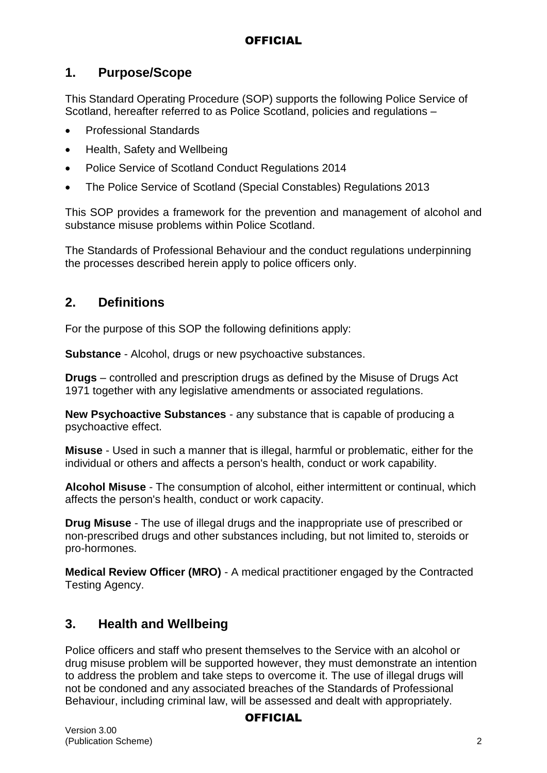# **1. Purpose/Scope**

This Standard Operating Procedure (SOP) supports the following Police Service of Scotland, hereafter referred to as Police Scotland, policies and regulations –

- Professional Standards
- Health, Safety and Wellbeing
- Police Service of Scotland Conduct Regulations 2014
- The Police Service of Scotland (Special Constables) Regulations 2013

This SOP provides a framework for the prevention and management of alcohol and substance misuse problems within Police Scotland.

The Standards of Professional Behaviour and the conduct regulations underpinning the processes described herein apply to police officers only.

## **2. Definitions**

For the purpose of this SOP the following definitions apply:

**Substance** - Alcohol, drugs or new psychoactive substances.

**Drugs** – controlled and prescription drugs as defined by the Misuse of Drugs Act 1971 together with any legislative amendments or associated regulations.

**New Psychoactive Substances** - any substance that is capable of producing a psychoactive effect.

**Misuse** - Used in such a manner that is illegal, harmful or problematic, either for the individual or others and affects a person's health, conduct or work capability.

**Alcohol Misuse** - The consumption of alcohol, either intermittent or continual, which affects the person's health, conduct or work capacity.

**Drug Misuse** - The use of illegal drugs and the inappropriate use of prescribed or non-prescribed drugs and other substances including, but not limited to, steroids or pro-hormones.

**Medical Review Officer (MRO)** - A medical practitioner engaged by the Contracted Testing Agency.

# **3. Health and Wellbeing**

Police officers and staff who present themselves to the Service with an alcohol or drug misuse problem will be supported however, they must demonstrate an intention to address the problem and take steps to overcome it. The use of illegal drugs will not be condoned and any associated breaches of the Standards of Professional Behaviour, including criminal law, will be assessed and dealt with appropriately.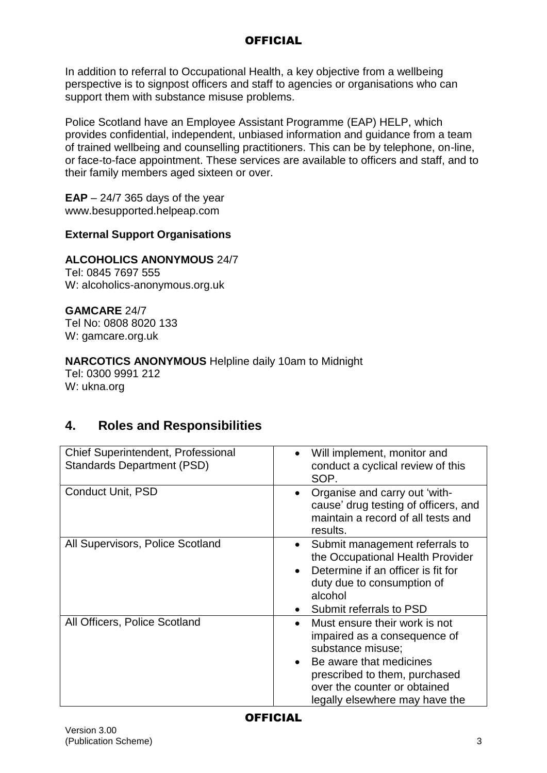In addition to referral to Occupational Health, a key objective from a wellbeing perspective is to signpost officers and staff to agencies or organisations who can support them with substance misuse problems.

Police Scotland have an Employee Assistant Programme (EAP) HELP, which provides confidential, independent, unbiased information and guidance from a team of trained wellbeing and counselling practitioners. This can be by telephone, on-line, or face-to-face appointment. These services are available to officers and staff, and to their family members aged sixteen or over.

**EAP** – 24/7 365 days of the year www.besupported.helpeap.com

## **External Support Organisations**

## **ALCOHOLICS ANONYMOUS** 24/7

Tel: 0845 7697 555 W: alcoholics-anonymous.org.uk

**GAMCARE** 24/7 Tel No: 0808 8020 133 W: gamcare.org.uk

## **NARCOTICS ANONYMOUS** Helpline daily 10am to Midnight

Tel: 0300 9991 212 W: ukna.org

# **4. Roles and Responsibilities**

| Chief Superintendent, Professional<br><b>Standards Department (PSD)</b> | Will implement, monitor and<br>conduct a cyclical review of this<br>SOP.                                                                                                                                                                   |
|-------------------------------------------------------------------------|--------------------------------------------------------------------------------------------------------------------------------------------------------------------------------------------------------------------------------------------|
| Conduct Unit, PSD                                                       | Organise and carry out 'with-<br>cause' drug testing of officers, and<br>maintain a record of all tests and<br>results.                                                                                                                    |
| All Supervisors, Police Scotland                                        | Submit management referrals to<br>$\bullet$<br>the Occupational Health Provider<br>Determine if an officer is fit for<br>$\bullet$<br>duty due to consumption of<br>alcohol<br>Submit referrals to PSD                                     |
| All Officers, Police Scotland                                           | Must ensure their work is not<br>$\bullet$<br>impaired as a consequence of<br>substance misuse;<br>Be aware that medicines<br>$\bullet$<br>prescribed to them, purchased<br>over the counter or obtained<br>legally elsewhere may have the |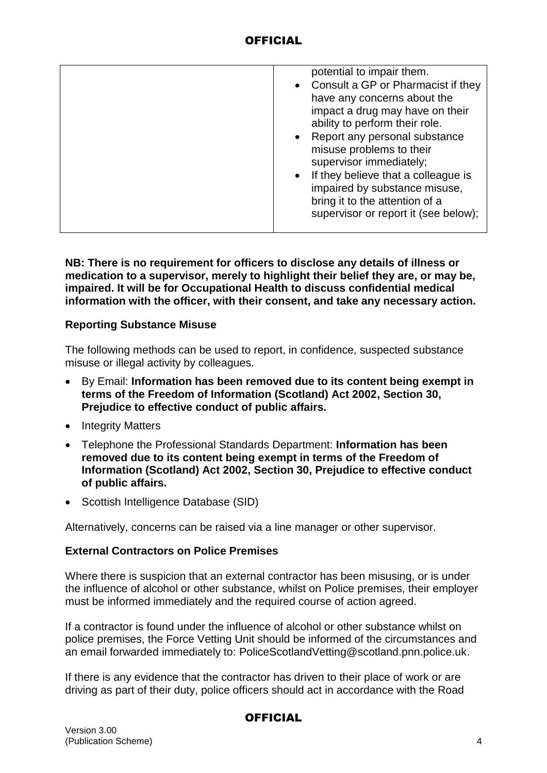| potential to impair them.<br>• Consult a GP or Pharmacist if they<br>have any concerns about the<br>impact a drug may have on their<br>ability to perform their role.<br>• Report any personal substance<br>misuse problems to their<br>supervisor immediately;<br>• If they believe that a colleague is<br>impaired by substance misuse,<br>bring it to the attention of a<br>supervisor or report it (see below); |
|---------------------------------------------------------------------------------------------------------------------------------------------------------------------------------------------------------------------------------------------------------------------------------------------------------------------------------------------------------------------------------------------------------------------|
|                                                                                                                                                                                                                                                                                                                                                                                                                     |

**NB: There is no requirement for officers to disclose any details of illness or medication to a supervisor, merely to highlight their belief they are, or may be, impaired. It will be for Occupational Health to discuss confidential medical information with the officer, with their consent, and take any necessary action.**

### **Reporting Substance Misuse**

The following methods can be used to report, in confidence, suspected substance misuse or illegal activity by colleagues.

- By Email: **Information has been removed due to its content being exempt in terms of the Freedom of Information (Scotland) Act 2002, Section 30, Prejudice to effective conduct of public affairs.**
- Integrity Matters
- Telephone the Professional Standards Department: **Information has been removed due to its content being exempt in terms of the Freedom of Information (Scotland) Act 2002, Section 30, Prejudice to effective conduct of public affairs.**
- Scottish Intelligence Database (SID)

Alternatively, concerns can be raised via a line manager or other supervisor.

### **External Contractors on Police Premises**

Where there is suspicion that an external contractor has been misusing, or is under the influence of alcohol or other substance, whilst on Police premises, their employer must be informed immediately and the required course of action agreed.

If a contractor is found under the influence of alcohol or other substance whilst on police premises, the Force Vetting Unit should be informed of the circumstances and an email forwarded immediately to: PoliceScotlandVetting@scotland.pnn.police.uk.

If there is any evidence that the contractor has driven to their place of work or are driving as part of their duty, police officers should act in accordance with the Road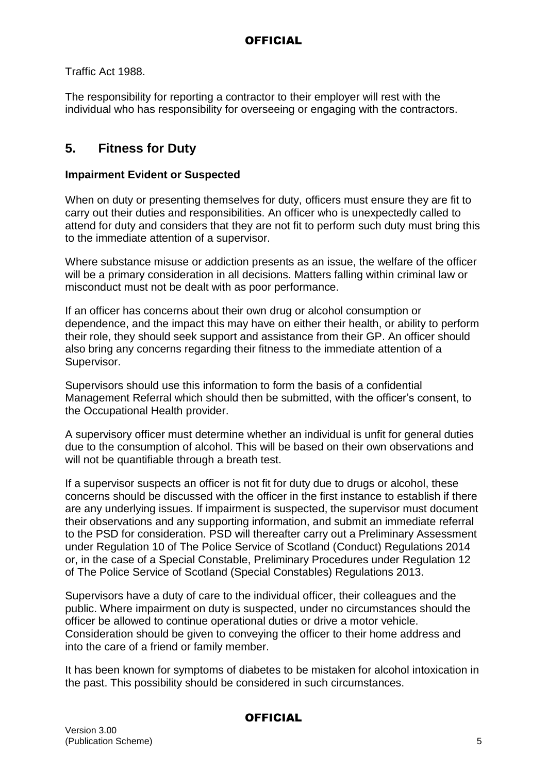Traffic Act 1988.

The responsibility for reporting a contractor to their employer will rest with the individual who has responsibility for overseeing or engaging with the contractors.

# **5. Fitness for Duty**

## **Impairment Evident or Suspected**

When on duty or presenting themselves for duty, officers must ensure they are fit to carry out their duties and responsibilities. An officer who is unexpectedly called to attend for duty and considers that they are not fit to perform such duty must bring this to the immediate attention of a supervisor.

Where substance misuse or addiction presents as an issue, the welfare of the officer will be a primary consideration in all decisions. Matters falling within criminal law or misconduct must not be dealt with as poor performance.

If an officer has concerns about their own drug or alcohol consumption or dependence, and the impact this may have on either their health, or ability to perform their role, they should seek support and assistance from their GP. An officer should also bring any concerns regarding their fitness to the immediate attention of a Supervisor.

Supervisors should use this information to form the basis of a confidential Management Referral which should then be submitted, with the officer's consent, to the Occupational Health provider.

A supervisory officer must determine whether an individual is unfit for general duties due to the consumption of alcohol. This will be based on their own observations and will not be quantifiable through a breath test.

If a supervisor suspects an officer is not fit for duty due to drugs or alcohol, these concerns should be discussed with the officer in the first instance to establish if there are any underlying issues. If impairment is suspected, the supervisor must document their observations and any supporting information, and submit an immediate referral to the PSD for consideration. PSD will thereafter carry out a Preliminary Assessment under Regulation 10 of The Police Service of Scotland (Conduct) Regulations 2014 or, in the case of a Special Constable, Preliminary Procedures under Regulation 12 of The Police Service of Scotland (Special Constables) Regulations 2013.

Supervisors have a duty of care to the individual officer, their colleagues and the public. Where impairment on duty is suspected, under no circumstances should the officer be allowed to continue operational duties or drive a motor vehicle. Consideration should be given to conveying the officer to their home address and into the care of a friend or family member.

It has been known for symptoms of diabetes to be mistaken for alcohol intoxication in the past. This possibility should be considered in such circumstances.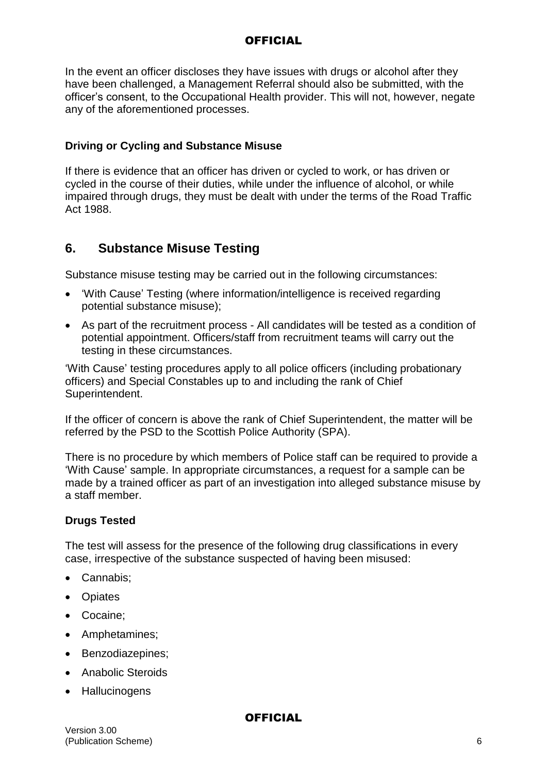In the event an officer discloses they have issues with drugs or alcohol after they have been challenged, a Management Referral should also be submitted, with the officer's consent, to the Occupational Health provider. This will not, however, negate any of the aforementioned processes.

## **Driving or Cycling and Substance Misuse**

If there is evidence that an officer has driven or cycled to work, or has driven or cycled in the course of their duties, while under the influence of alcohol, or while impaired through drugs, they must be dealt with under the terms of the Road Traffic Act 1988.

## **6. Substance Misuse Testing**

Substance misuse testing may be carried out in the following circumstances:

- 'With Cause' Testing (where information/intelligence is received regarding potential substance misuse);
- As part of the recruitment process All candidates will be tested as a condition of potential appointment. Officers/staff from recruitment teams will carry out the testing in these circumstances.

'With Cause' testing procedures apply to all police officers (including probationary officers) and Special Constables up to and including the rank of Chief Superintendent.

If the officer of concern is above the rank of Chief Superintendent, the matter will be referred by the PSD to the Scottish Police Authority (SPA).

There is no procedure by which members of Police staff can be required to provide a 'With Cause' sample. In appropriate circumstances, a request for a sample can be made by a trained officer as part of an investigation into alleged substance misuse by a staff member.

## **Drugs Tested**

The test will assess for the presence of the following drug classifications in every case, irrespective of the substance suspected of having been misused:

- Cannabis:
- Opiates
- Cocaine;
- Amphetamines;
- Benzodiazepines;
- Anabolic Steroids
- Hallucinogens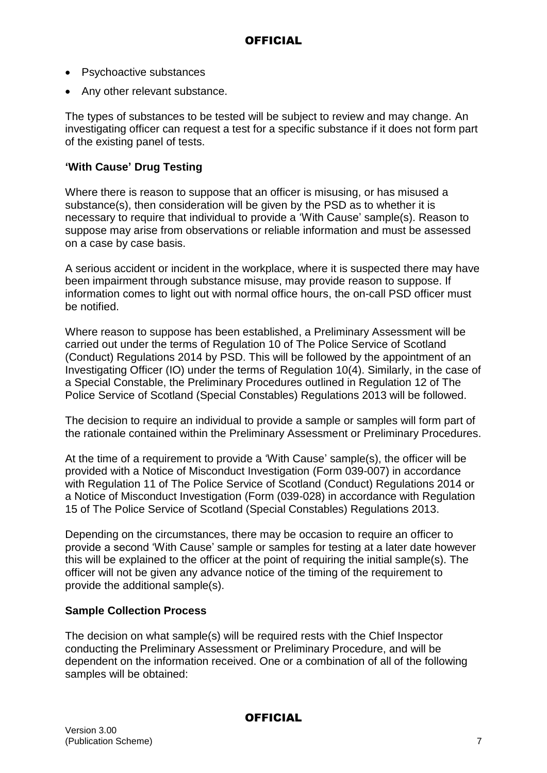- Psychoactive substances
- Any other relevant substance.

The types of substances to be tested will be subject to review and may change. An investigating officer can request a test for a specific substance if it does not form part of the existing panel of tests.

## **'With Cause' Drug Testing**

Where there is reason to suppose that an officer is misusing, or has misused a substance(s), then consideration will be given by the PSD as to whether it is necessary to require that individual to provide a 'With Cause' sample(s). Reason to suppose may arise from observations or reliable information and must be assessed on a case by case basis.

A serious accident or incident in the workplace, where it is suspected there may have been impairment through substance misuse, may provide reason to suppose. If information comes to light out with normal office hours, the on-call PSD officer must be notified.

Where reason to suppose has been established, a Preliminary Assessment will be carried out under the terms of Regulation 10 of The Police Service of Scotland (Conduct) Regulations 2014 by PSD. This will be followed by the appointment of an Investigating Officer (IO) under the terms of Regulation 10(4). Similarly, in the case of a Special Constable, the Preliminary Procedures outlined in Regulation 12 of The Police Service of Scotland (Special Constables) Regulations 2013 will be followed.

The decision to require an individual to provide a sample or samples will form part of the rationale contained within the Preliminary Assessment or Preliminary Procedures.

At the time of a requirement to provide a 'With Cause' sample(s), the officer will be provided with a Notice of Misconduct Investigation (Form 039-007) in accordance with Regulation 11 of The Police Service of Scotland (Conduct) Regulations 2014 or a Notice of Misconduct Investigation (Form (039-028) in accordance with Regulation 15 of The Police Service of Scotland (Special Constables) Regulations 2013.

Depending on the circumstances, there may be occasion to require an officer to provide a second 'With Cause' sample or samples for testing at a later date however this will be explained to the officer at the point of requiring the initial sample(s). The officer will not be given any advance notice of the timing of the requirement to provide the additional sample(s).

### **Sample Collection Process**

The decision on what sample(s) will be required rests with the Chief Inspector conducting the Preliminary Assessment or Preliminary Procedure, and will be dependent on the information received. One or a combination of all of the following samples will be obtained: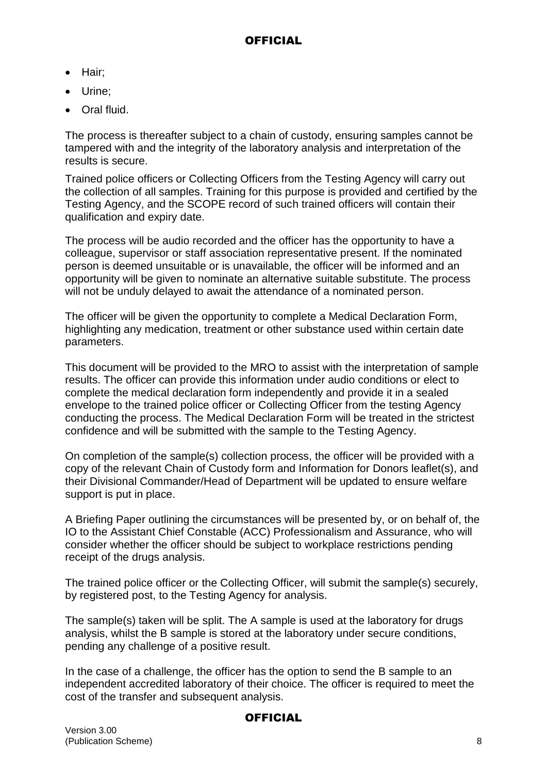- Hair:
- Urine:
- Oral fluid.

The process is thereafter subject to a chain of custody, ensuring samples cannot be tampered with and the integrity of the laboratory analysis and interpretation of the results is secure.

Trained police officers or Collecting Officers from the Testing Agency will carry out the collection of all samples. Training for this purpose is provided and certified by the Testing Agency, and the SCOPE record of such trained officers will contain their qualification and expiry date.

The process will be audio recorded and the officer has the opportunity to have a colleague, supervisor or staff association representative present. If the nominated person is deemed unsuitable or is unavailable, the officer will be informed and an opportunity will be given to nominate an alternative suitable substitute. The process will not be unduly delayed to await the attendance of a nominated person.

The officer will be given the opportunity to complete a Medical Declaration Form, highlighting any medication, treatment or other substance used within certain date parameters.

This document will be provided to the MRO to assist with the interpretation of sample results. The officer can provide this information under audio conditions or elect to complete the medical declaration form independently and provide it in a sealed envelope to the trained police officer or Collecting Officer from the testing Agency conducting the process. The Medical Declaration Form will be treated in the strictest confidence and will be submitted with the sample to the Testing Agency.

On completion of the sample(s) collection process, the officer will be provided with a copy of the relevant Chain of Custody form and Information for Donors leaflet(s), and their Divisional Commander/Head of Department will be updated to ensure welfare support is put in place.

A Briefing Paper outlining the circumstances will be presented by, or on behalf of, the IO to the Assistant Chief Constable (ACC) Professionalism and Assurance, who will consider whether the officer should be subject to workplace restrictions pending receipt of the drugs analysis.

The trained police officer or the Collecting Officer, will submit the sample(s) securely, by registered post, to the Testing Agency for analysis.

The sample(s) taken will be split. The A sample is used at the laboratory for drugs analysis, whilst the B sample is stored at the laboratory under secure conditions, pending any challenge of a positive result.

In the case of a challenge, the officer has the option to send the B sample to an independent accredited laboratory of their choice. The officer is required to meet the cost of the transfer and subsequent analysis.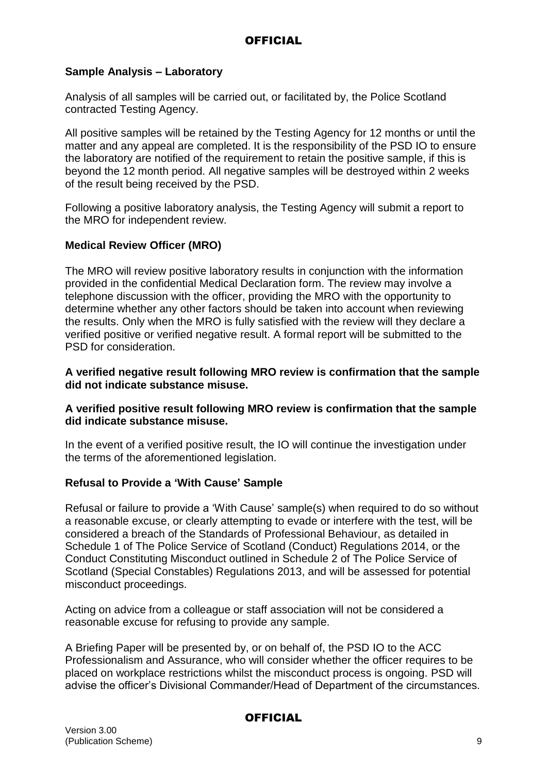## **Sample Analysis – Laboratory**

Analysis of all samples will be carried out, or facilitated by, the Police Scotland contracted Testing Agency.

All positive samples will be retained by the Testing Agency for 12 months or until the matter and any appeal are completed. It is the responsibility of the PSD IO to ensure the laboratory are notified of the requirement to retain the positive sample, if this is beyond the 12 month period. All negative samples will be destroyed within 2 weeks of the result being received by the PSD.

Following a positive laboratory analysis, the Testing Agency will submit a report to the MRO for independent review.

## **Medical Review Officer (MRO)**

The MRO will review positive laboratory results in conjunction with the information provided in the confidential Medical Declaration form. The review may involve a telephone discussion with the officer, providing the MRO with the opportunity to determine whether any other factors should be taken into account when reviewing the results. Only when the MRO is fully satisfied with the review will they declare a verified positive or verified negative result. A formal report will be submitted to the PSD for consideration.

**A verified negative result following MRO review is confirmation that the sample did not indicate substance misuse.**

### **A verified positive result following MRO review is confirmation that the sample did indicate substance misuse.**

In the event of a verified positive result, the IO will continue the investigation under the terms of the aforementioned legislation.

### **Refusal to Provide a 'With Cause' Sample**

Refusal or failure to provide a 'With Cause' sample(s) when required to do so without a reasonable excuse, or clearly attempting to evade or interfere with the test, will be considered a breach of the Standards of Professional Behaviour, as detailed in Schedule 1 of The Police Service of Scotland (Conduct) Regulations 2014, or the Conduct Constituting Misconduct outlined in Schedule 2 of The Police Service of Scotland (Special Constables) Regulations 2013, and will be assessed for potential misconduct proceedings.

Acting on advice from a colleague or staff association will not be considered a reasonable excuse for refusing to provide any sample.

A Briefing Paper will be presented by, or on behalf of, the PSD IO to the ACC Professionalism and Assurance, who will consider whether the officer requires to be placed on workplace restrictions whilst the misconduct process is ongoing. PSD will advise the officer's Divisional Commander/Head of Department of the circumstances.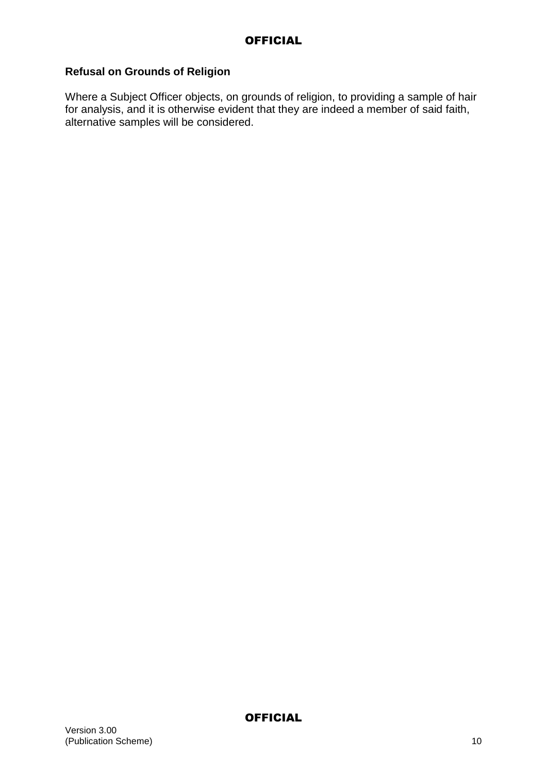## **Refusal on Grounds of Religion**

Where a Subject Officer objects, on grounds of religion, to providing a sample of hair for analysis, and it is otherwise evident that they are indeed a member of said faith, alternative samples will be considered.